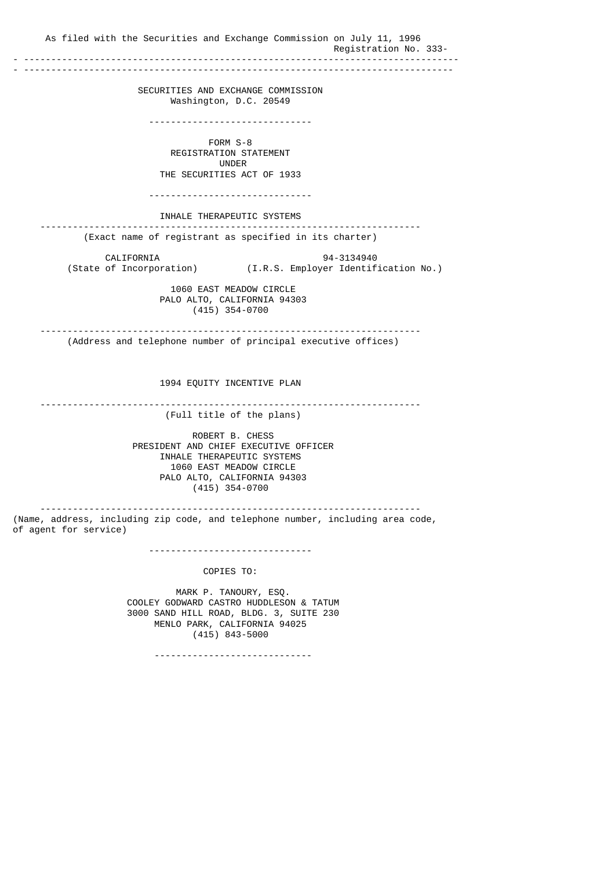As filed with the Securities and Exchange Commission on July 11, 1996 Registration No. 333-<br>------------------------- -------------------------------------------------------------------------------- - ------------------------------------------------------------------------------- SECURITIES AND EXCHANGE COMMISSION Washington, D.C. 20549 ------------------------------ FORM S-8 REGISTRATION STATEMENT UNDER THE SECURITIES ACT OF 1933 ------------------------------ INHALE THERAPEUTIC SYSTEMS ---------------------------------------------------------------------- (Exact name of registrant as specified in its charter) CALIFORNIA 94-3134940<br>(State of Incorporation) (I.R.S. Employer Identif (I.R.S. Employer Identification No.) 1060 EAST MEADOW CIRCLE PALO ALTO, CALIFORNIA 94303 (415) 354-0700 ---------------------------------------------------------------------- (Address and telephone number of principal executive offices) 1994 EQUITY INCENTIVE PLAN ---------------------------------------------------------------------- (Full title of the plans) ROBERT B. CHESS PRESIDENT AND CHIEF EXECUTIVE OFFICER INHALE THERAPEUTIC SYSTEMS 1060 EAST MEADOW CIRCLE PALO ALTO, CALIFORNIA 94303 (415) 354-0700 ---------------------------------------------------------------------- (Name, address, including zip code, and telephone number, including area code, of agent for service) ------------------------------ COPIES TO: MARK P. TANOURY, ESQ. COOLEY GODWARD CASTRO HUDDLESON & TATUM 3000 SAND HILL ROAD, BLDG. 3, SUITE 230 MENLO PARK, CALIFORNIA 94025 (415) 843-5000

-----------------------------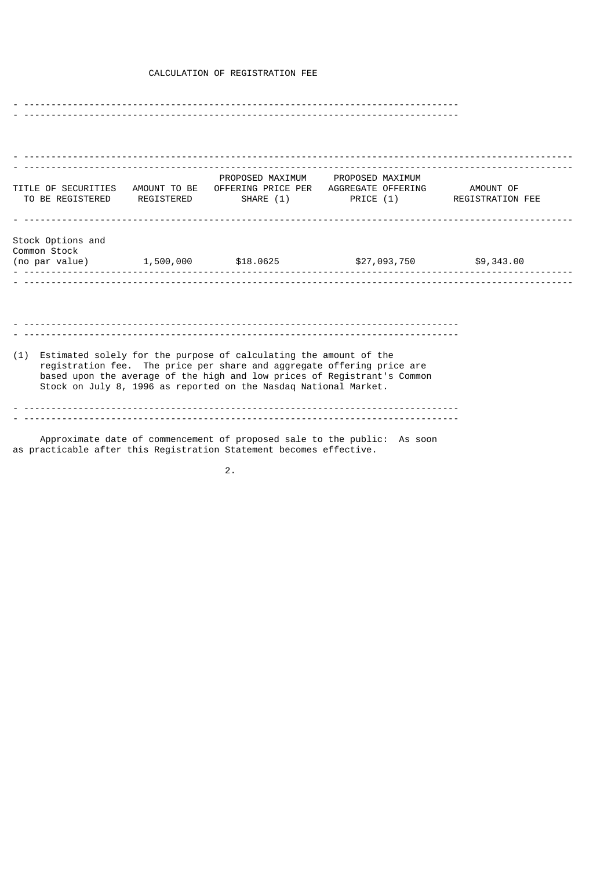# CALCULATION OF REGISTRATION FEE

- -------------------------------------------------------------------------------- - -------------------------------------------------------------------------------- - ----------------------------------------------------------------------------------------------------- - ----------------------------------------------------------------------------------------------------- PROPOSED MAXIMUM PROPOSED MAXIMUM TITLE OF SECURITIES AMOUNT TO BE OFFERING PRICE PER AGGREGATE OFFERING AMOUNT OF TO BE REGISTERED REGISTERED SHARE (1) PRICE (1) REGISTRATION FEE - ----------------------------------------------------------------------------------------------------- Stock Options and Common Stock (no par value)  $1,500,000$  \$18.0625 \$27,093,750 \$9,343.00 - ----------------------------------------------------------------------------------------------------- - ----------------------------------------------------------------------------------------------------- - -------------------------------------------------------------------------------- - -------------------------------------------------------------------------------- (1) Estimated solely for the purpose of calculating the amount of the registration fee. The price per share and aggregate offering price are based upon the average of the high and low prices of Registrant's Common Stock on July 8, 1996 as reported on the Nasdaq National Market. - -------------------------------------------------------------------------------- - -------------------------------------------------------------------------------- Approximate date of commencement of proposed sale to the public: As soon as practicable after this Registration Statement becomes effective.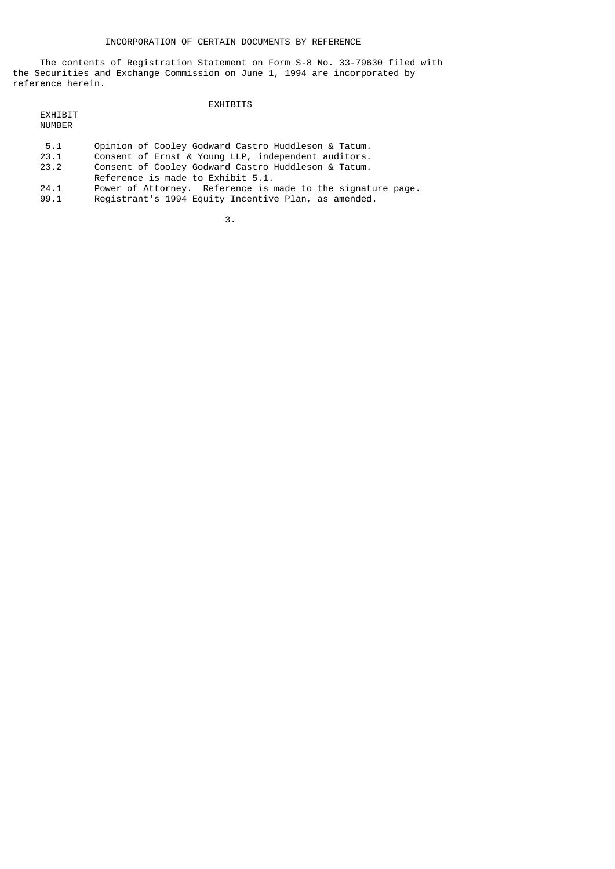The contents of Registration Statement on Form S-8 No. 33-79630 filed with the Securities and Exchange Commission on June 1, 1994 are incorporated by reference herein.

#### EXHIBITS

 EXHIBIT NUMBER

- 5.1 Opinion of Cooley Godward Castro Huddleson & Tatum.<br>23.1 Consent of Ernst & Young LLP, independent auditors.
- 23.1 Consent of Ernst & Young LLP, independent auditors.
- 23.2 Consent of Cooley Godward Castro Huddleson & Tatum.
	- Reference is made to Exhibit 5.1.<br>24.1 Power of Attorney. Reference is r
	- 24.1 Power of Attorney. Reference is made to the signature page.<br>99.1 Registrant's 1994 Equity Incentive Plan, as amended.
	- Registrant's 1994 Equity Incentive Plan, as amended.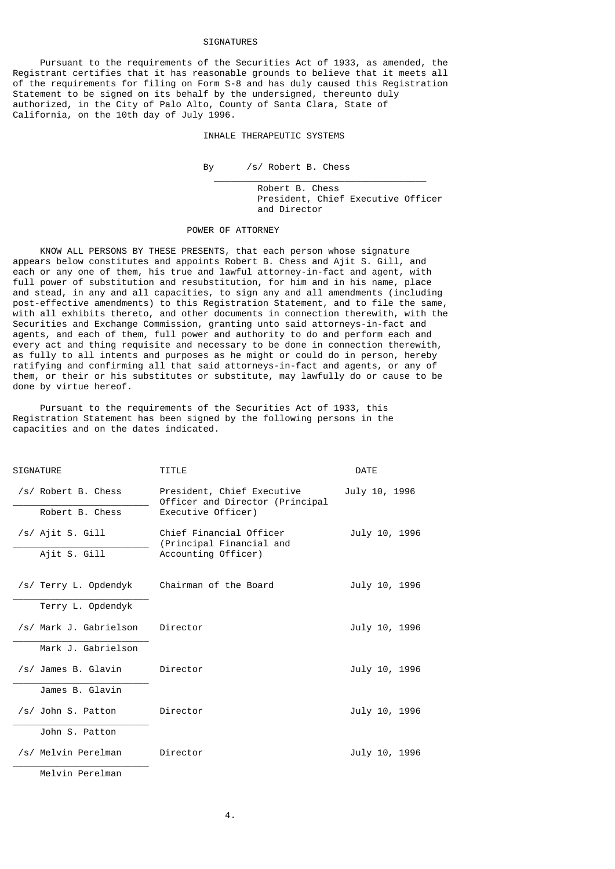## SIGNATURES

 Pursuant to the requirements of the Securities Act of 1933, as amended, the Registrant certifies that it has reasonable grounds to believe that it meets all of the requirements for filing on Form S-8 and has duly caused this Registration Statement to be signed on its behalf by the undersigned, thereunto duly authorized, in the City of Palo Alto, County of Santa Clara, State of California, on the 10th day of July 1996.

## INHALE THERAPEUTIC SYSTEMS

#### By /s/ Robert B. Chess

 Robert B. Chess President, Chief Executive Officer and Director

#### POWER OF ATTORNEY

 $\_$ 

 KNOW ALL PERSONS BY THESE PRESENTS, that each person whose signature appears below constitutes and appoints Robert B. Chess and Ajit S. Gill, and each or any one of them, his true and lawful attorney-in-fact and agent, with full power of substitution and resubstitution, for him and in his name, place and stead, in any and all capacities, to sign any and all amendments (including post-effective amendments) to this Registration Statement, and to file the same, with all exhibits thereto, and other documents in connection therewith, with the Securities and Exchange Commission, granting unto said attorneys-in-fact and agents, and each of them, full power and authority to do and perform each and every act and thing requisite and necessary to be done in connection therewith, as fully to all intents and purposes as he might or could do in person, hereby ratifying and confirming all that said attorneys-in-fact and agents, or any of them, or their or his substitutes or substitute, may lawfully do or cause to be done by virtue hereof.

 Pursuant to the requirements of the Securities Act of 1933, this Registration Statement has been signed by the following persons in the capacities and on the dates indicated.

| <b>SIGNATURE</b>       | TITLE                                                                               | <b>DATE</b>   |
|------------------------|-------------------------------------------------------------------------------------|---------------|
| /s/ Robert B. Chess    | President, Chief Executive<br>Officer and Director (Principal<br>Executive Officer) | July 10, 1996 |
| Robert B. Chess        |                                                                                     |               |
| /s/ Ajit S. Gill       | Chief Financial Officer<br>(Principal Financial and<br>Accounting Officer)          | July 10, 1996 |
| Ajit S. Gill           |                                                                                     |               |
| /s/ Terry L. Opdendyk  | Chairman of the Board                                                               | July 10, 1996 |
| Terry L. Opdendyk      |                                                                                     |               |
| /s/ Mark J. Gabrielson | Director                                                                            | July 10, 1996 |
| Mark J. Gabrielson     |                                                                                     |               |
| /s/ James B. Glavin    | Director                                                                            | July 10, 1996 |
| James B. Glavin        |                                                                                     |               |
| /s/ John S. Patton     | Director                                                                            | July 10, 1996 |
| John S. Patton         |                                                                                     |               |
| /s/ Melvin Perelman    | Director                                                                            | July 10, 1996 |
| Melvin Perelman        |                                                                                     |               |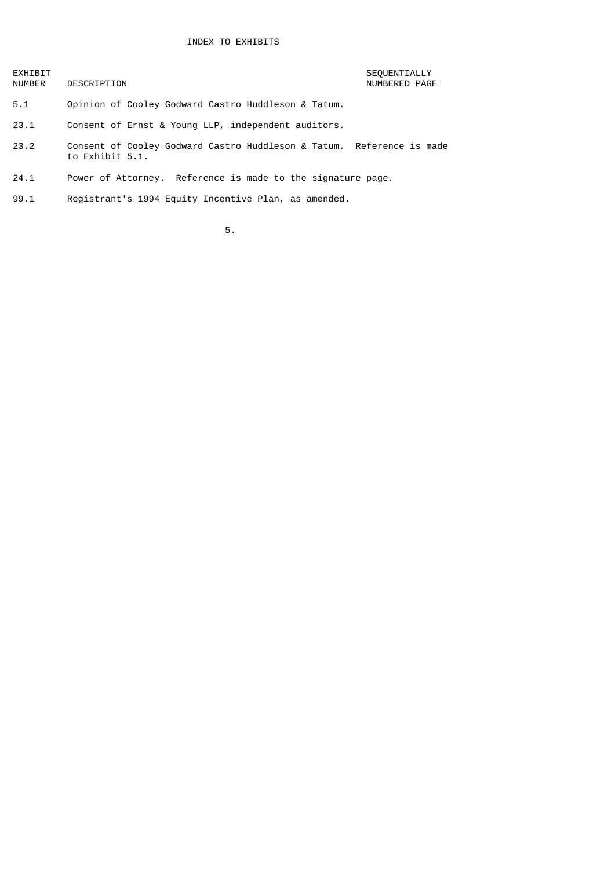EXHIBIT SEQUENTIALLY

# NUMBERED PAGE

- 5.1 Opinion of Cooley Godward Castro Huddleson & Tatum.
- 23.1 Consent of Ernst & Young LLP, independent auditors.
- 23.2 Consent of Cooley Godward Castro Huddleson & Tatum. Reference is made to Exhibit 5.1.
- 24.1 Power of Attorney. Reference is made to the signature page.
- 99.1 Registrant's 1994 Equity Incentive Plan, as amended.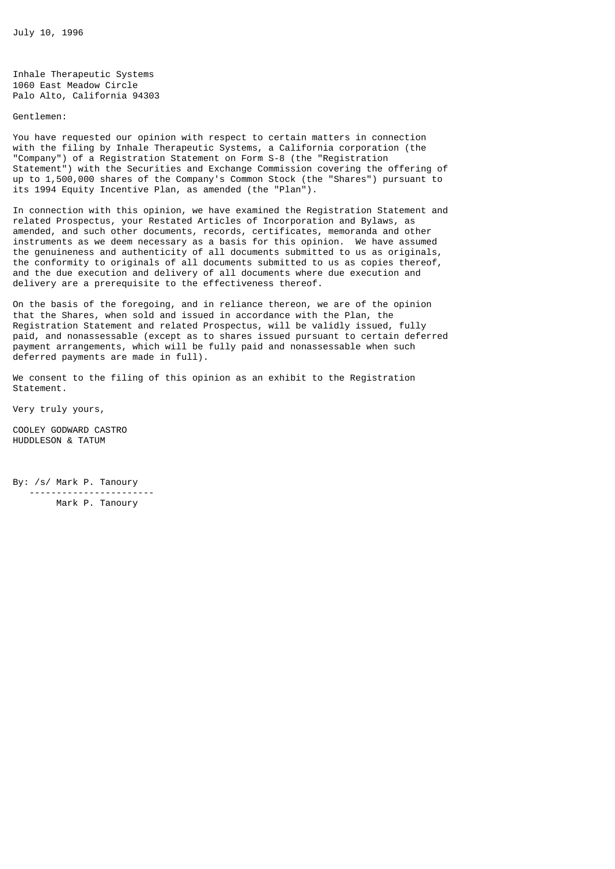July 10, 1996

Inhale Therapeutic Systems 1060 East Meadow Circle Palo Alto, California 94303

Gentlemen:

You have requested our opinion with respect to certain matters in connection with the filing by Inhale Therapeutic Systems, a California corporation (the "Company") of a Registration Statement on Form S-8 (the "Registration Statement") with the Securities and Exchange Commission covering the offering of up to 1,500,000 shares of the Company's Common Stock (the "Shares") pursuant to its 1994 Equity Incentive Plan, as amended (the "Plan").

In connection with this opinion, we have examined the Registration Statement and related Prospectus, your Restated Articles of Incorporation and Bylaws, as amended, and such other documents, records, certificates, memoranda and other instruments as we deem necessary as a basis for this opinion. We have assumed the genuineness and authenticity of all documents submitted to us as originals, the conformity to originals of all documents submitted to us as copies thereof, and the due execution and delivery of all documents where due execution and delivery are a prerequisite to the effectiveness thereof.

On the basis of the foregoing, and in reliance thereon, we are of the opinion that the Shares, when sold and issued in accordance with the Plan, the Registration Statement and related Prospectus, will be validly issued, fully paid, and nonassessable (except as to shares issued pursuant to certain deferred payment arrangements, which will be fully paid and nonassessable when such deferred payments are made in full).

We consent to the filing of this opinion as an exhibit to the Registration Statement.

Very truly yours,

COOLEY GODWARD CASTRO HUDDLESON & TATUM

By: /s/ Mark P. Tanoury ----------------------- Mark P. Tanoury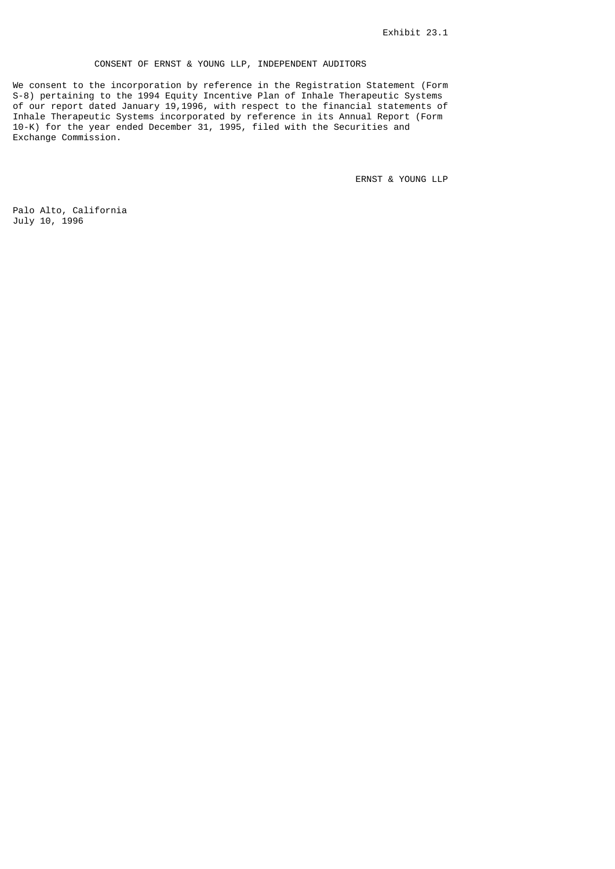# CONSENT OF ERNST & YOUNG LLP, INDEPENDENT AUDITORS

We consent to the incorporation by reference in the Registration Statement (Form S-8) pertaining to the 1994 Equity Incentive Plan of Inhale Therapeutic Systems of our report dated January 19,1996, with respect to the financial statements of Inhale Therapeutic Systems incorporated by reference in its Annual Report (Form 10-K) for the year ended December 31, 1995, filed with the Securities and Exchange Commission.

ERNST & YOUNG LLP

Palo Alto, California July 10, 1996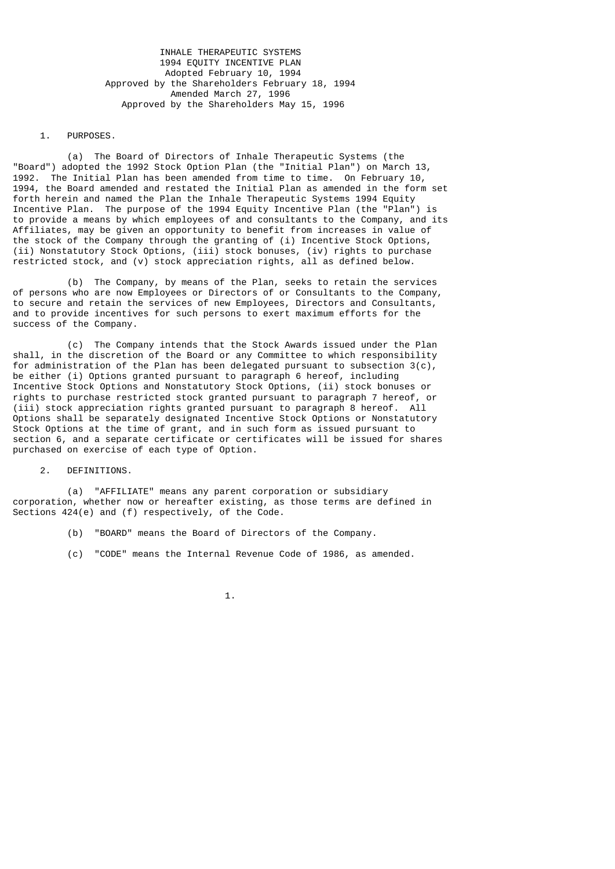INHALE THERAPEUTIC SYSTEMS 1994 EQUITY INCENTIVE PLAN Adopted February 10, 1994 Approved by the Shareholders February 18, 1994 Amended March 27, 1996 Approved by the Shareholders May 15, 1996

#### 1. PURPOSES.

 (a) The Board of Directors of Inhale Therapeutic Systems (the "Board") adopted the 1992 Stock Option Plan (the "Initial Plan") on March 13, 1992. The Initial Plan has been amended from time to time. On February 10, 1994, the Board amended and restated the Initial Plan as amended in the form set forth herein and named the Plan the Inhale Therapeutic Systems 1994 Equity Incentive Plan. The purpose of the 1994 Equity Incentive Plan (the "Plan") is to provide a means by which employees of and consultants to the Company, and its Affiliates, may be given an opportunity to benefit from increases in value of the stock of the Company through the granting of (i) Incentive Stock Options, (ii) Nonstatutory Stock Options, (iii) stock bonuses, (iv) rights to purchase restricted stock, and (v) stock appreciation rights, all as defined below.

 (b) The Company, by means of the Plan, seeks to retain the services of persons who are now Employees or Directors of or Consultants to the Company, to secure and retain the services of new Employees, Directors and Consultants, and to provide incentives for such persons to exert maximum efforts for the success of the Company.

 (c) The Company intends that the Stock Awards issued under the Plan shall, in the discretion of the Board or any Committee to which responsibility for administration of the Plan has been delegated pursuant to subsection  $3(c)$ , be either (i) Options granted pursuant to paragraph 6 hereof, including Incentive Stock Options and Nonstatutory Stock Options, (ii) stock bonuses or rights to purchase restricted stock granted pursuant to paragraph 7 hereof, or (iii) stock appreciation rights granted pursuant to paragraph 8 hereof. All Options shall be separately designated Incentive Stock Options or Nonstatutory Stock Options at the time of grant, and in such form as issued pursuant to section 6, and a separate certificate or certificates will be issued for shares purchased on exercise of each type of Option.

2. DEFINITIONS.

 (a) "AFFILIATE" means any parent corporation or subsidiary corporation, whether now or hereafter existing, as those terms are defined in Sections 424(e) and (f) respectively, of the Code.

- (b) "BOARD" means the Board of Directors of the Company.
- (c) "CODE" means the Internal Revenue Code of 1986, as amended.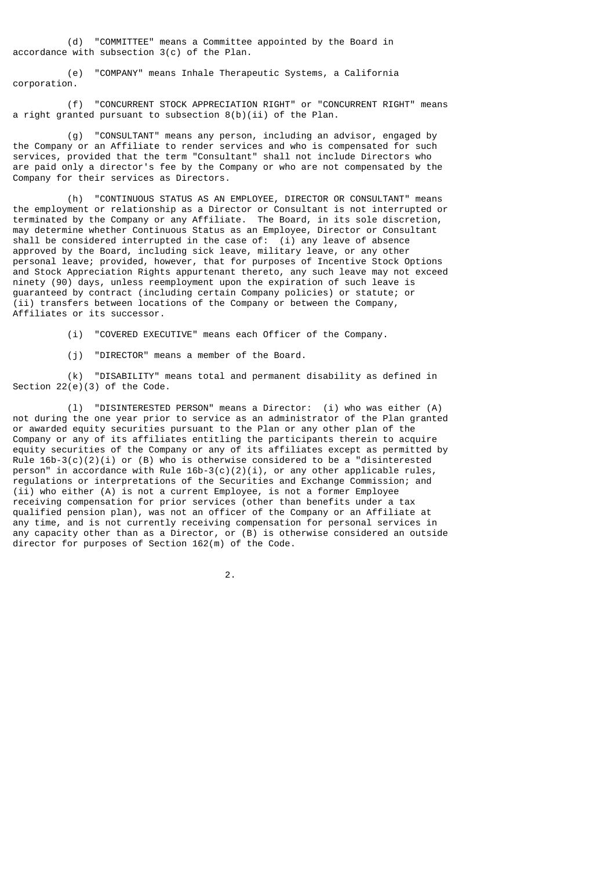(d) "COMMITTEE" means a Committee appointed by the Board in accordance with subsection 3(c) of the Plan.

 (e) "COMPANY" means Inhale Therapeutic Systems, a California corporation.

 (f) "CONCURRENT STOCK APPRECIATION RIGHT" or "CONCURRENT RIGHT" means a right granted pursuant to subsection 8(b)(ii) of the Plan.

 (g) "CONSULTANT" means any person, including an advisor, engaged by the Company or an Affiliate to render services and who is compensated for such services, provided that the term "Consultant" shall not include Directors who are paid only a director's fee by the Company or who are not compensated by the Company for their services as Directors.

 (h) "CONTINUOUS STATUS AS AN EMPLOYEE, DIRECTOR OR CONSULTANT" means the employment or relationship as a Director or Consultant is not interrupted or terminated by the Company or any Affiliate. The Board, in its sole discretion, may determine whether Continuous Status as an Employee, Director or Consultant shall be considered interrupted in the case of: (i) any leave of absence approved by the Board, including sick leave, military leave, or any other personal leave; provided, however, that for purposes of Incentive Stock Options and Stock Appreciation Rights appurtenant thereto, any such leave may not exceed ninety (90) days, unless reemployment upon the expiration of such leave is guaranteed by contract (including certain Company policies) or statute; or (ii) transfers between locations of the Company or between the Company, Affiliates or its successor.

(i) "COVERED EXECUTIVE" means each Officer of the Company.

(j) "DIRECTOR" means a member of the Board.

 (k) "DISABILITY" means total and permanent disability as defined in Section  $22(e)(3)$  of the Code.

 (l) "DISINTERESTED PERSON" means a Director: (i) who was either (A) not during the one year prior to service as an administrator of the Plan granted or awarded equity securities pursuant to the Plan or any other plan of the Company or any of its affiliates entitling the participants therein to acquire equity securities of the Company or any of its affiliates except as permitted by Rule  $16b-3(c)(2)(i)$  or (B) who is otherwise considered to be a "disinterested person" in accordance with Rule 16b-3(c)(2)(i), or any other applicable rules, regulations or interpretations of the Securities and Exchange Commission; and (ii) who either (A) is not a current Employee, is not a former Employee receiving compensation for prior services (other than benefits under a tax qualified pension plan), was not an officer of the Company or an Affiliate at any time, and is not currently receiving compensation for personal services in any capacity other than as a Director, or (B) is otherwise considered an outside director for purposes of Section 162(m) of the Code.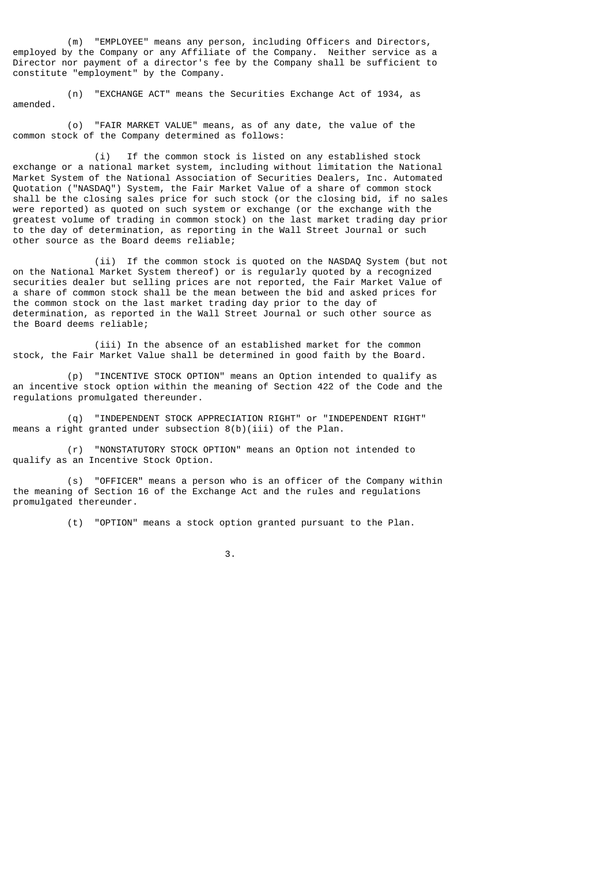(m) "EMPLOYEE" means any person, including Officers and Directors, employed by the Company or any Affiliate of the Company. Neither service as a Director nor payment of a director's fee by the Company shall be sufficient to constitute "employment" by the Company.

 (n) "EXCHANGE ACT" means the Securities Exchange Act of 1934, as amended.

 (o) "FAIR MARKET VALUE" means, as of any date, the value of the common stock of the Company determined as follows:

 (i) If the common stock is listed on any established stock exchange or a national market system, including without limitation the National Market System of the National Association of Securities Dealers, Inc. Automated Quotation ("NASDAQ") System, the Fair Market Value of a share of common stock shall be the closing sales price for such stock (or the closing bid, if no sales were reported) as quoted on such system or exchange (or the exchange with the greatest volume of trading in common stock) on the last market trading day prior to the day of determination, as reporting in the Wall Street Journal or such other source as the Board deems reliable;

 (ii) If the common stock is quoted on the NASDAQ System (but not on the National Market System thereof) or is regularly quoted by a recognized securities dealer but selling prices are not reported, the Fair Market Value of a share of common stock shall be the mean between the bid and asked prices for the common stock on the last market trading day prior to the day of determination, as reported in the Wall Street Journal or such other source as the Board deems reliable;

 (iii) In the absence of an established market for the common stock, the Fair Market Value shall be determined in good faith by the Board.

 (p) "INCENTIVE STOCK OPTION" means an Option intended to qualify as an incentive stock option within the meaning of Section 422 of the Code and the regulations promulgated thereunder.

 (q) "INDEPENDENT STOCK APPRECIATION RIGHT" or "INDEPENDENT RIGHT" means a right granted under subsection 8(b)(iii) of the Plan.

 (r) "NONSTATUTORY STOCK OPTION" means an Option not intended to qualify as an Incentive Stock Option.

 (s) "OFFICER" means a person who is an officer of the Company within the meaning of Section 16 of the Exchange Act and the rules and regulations promulgated thereunder.

(t) "OPTION" means a stock option granted pursuant to the Plan.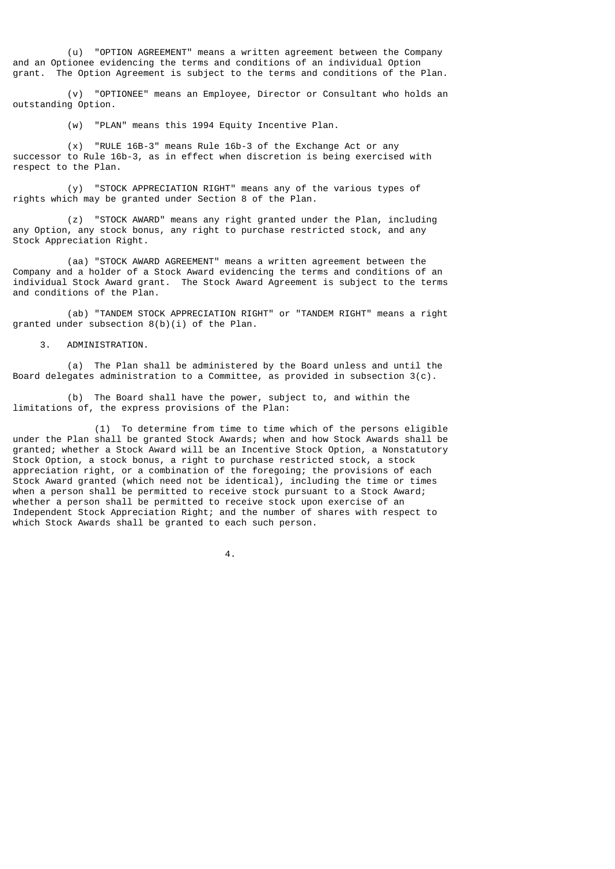(u) "OPTION AGREEMENT" means a written agreement between the Company and an Optionee evidencing the terms and conditions of an individual Option grant. The Option Agreement is subject to the terms and conditions of the Plan.

 (v) "OPTIONEE" means an Employee, Director or Consultant who holds an outstanding Option.

(w) "PLAN" means this 1994 Equity Incentive Plan.

 (x) "RULE 16B-3" means Rule 16b-3 of the Exchange Act or any successor to Rule 16b-3, as in effect when discretion is being exercised with respect to the Plan.

 (y) "STOCK APPRECIATION RIGHT" means any of the various types of rights which may be granted under Section 8 of the Plan.

 (z) "STOCK AWARD" means any right granted under the Plan, including any Option, any stock bonus, any right to purchase restricted stock, and any Stock Appreciation Right.

 (aa) "STOCK AWARD AGREEMENT" means a written agreement between the Company and a holder of a Stock Award evidencing the terms and conditions of an individual Stock Award grant. The Stock Award Agreement is subject to the terms and conditions of the Plan.

 (ab) "TANDEM STOCK APPRECIATION RIGHT" or "TANDEM RIGHT" means a right granted under subsection 8(b)(i) of the Plan.

3. ADMINISTRATION.

 (a) The Plan shall be administered by the Board unless and until the Board delegates administration to a Committee, as provided in subsection 3(c).

 (b) The Board shall have the power, subject to, and within the limitations of, the express provisions of the Plan:

 (1) To determine from time to time which of the persons eligible under the Plan shall be granted Stock Awards; when and how Stock Awards shall be granted; whether a Stock Award will be an Incentive Stock Option, a Nonstatutory Stock Option, a stock bonus, a right to purchase restricted stock, a stock appreciation right, or a combination of the foregoing; the provisions of each Stock Award granted (which need not be identical), including the time or times when a person shall be permitted to receive stock pursuant to a Stock Award; whether a person shall be permitted to receive stock upon exercise of an Independent Stock Appreciation Right; and the number of shares with respect to which Stock Awards shall be granted to each such person.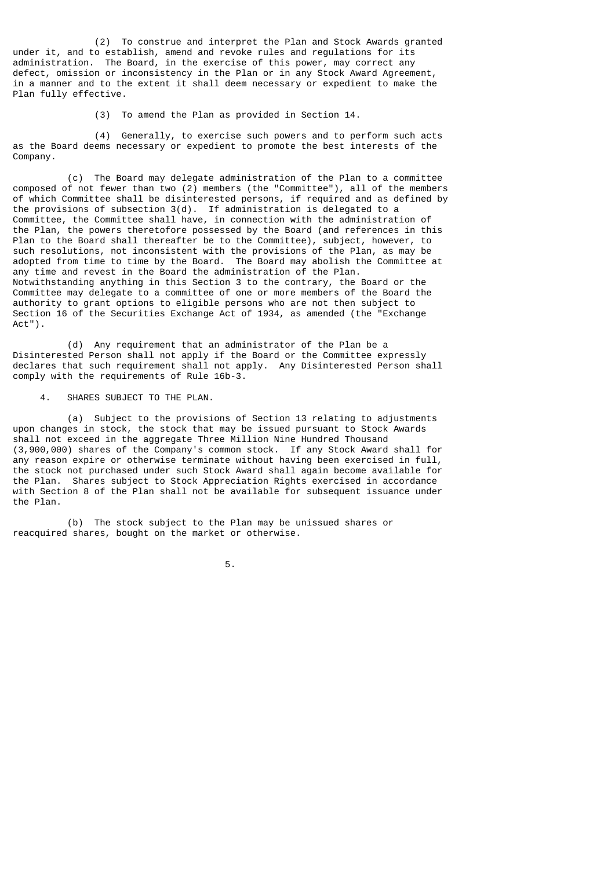(2) To construe and interpret the Plan and Stock Awards granted under it, and to establish, amend and revoke rules and regulations for its administration. The Board, in the exercise of this power, may correct any defect, omission or inconsistency in the Plan or in any Stock Award Agreement, in a manner and to the extent it shall deem necessary or expedient to make the Plan fully effective.

(3) To amend the Plan as provided in Section 14.

 (4) Generally, to exercise such powers and to perform such acts as the Board deems necessary or expedient to promote the best interests of the Company.

 (c) The Board may delegate administration of the Plan to a committee composed of not fewer than two (2) members (the "Committee"), all of the members of which Committee shall be disinterested persons, if required and as defined by the provisions of subsection 3(d). If administration is delegated to a Committee, the Committee shall have, in connection with the administration of the Plan, the powers theretofore possessed by the Board (and references in this Plan to the Board shall thereafter be to the Committee), subject, however, to such resolutions, not inconsistent with the provisions of the Plan, as may be adopted from time to time by the Board. The Board may abolish the Committee at any time and revest in the Board the administration of the Plan. Notwithstanding anything in this Section 3 to the contrary, the Board or the Committee may delegate to a committee of one or more members of the Board the authority to grant options to eligible persons who are not then subject to Section 16 of the Securities Exchange Act of 1934, as amended (the "Exchange Act").

 (d) Any requirement that an administrator of the Plan be a Disinterested Person shall not apply if the Board or the Committee expressly declares that such requirement shall not apply. Any Disinterested Person shall comply with the requirements of Rule 16b-3.

# 4. SHARES SUBJECT TO THE PLAN.

 (a) Subject to the provisions of Section 13 relating to adjustments upon changes in stock, the stock that may be issued pursuant to Stock Awards shall not exceed in the aggregate Three Million Nine Hundred Thousand (3,900,000) shares of the Company's common stock. If any Stock Award shall for any reason expire or otherwise terminate without having been exercised in full, the stock not purchased under such Stock Award shall again become available for the Plan. Shares subject to Stock Appreciation Rights exercised in accordance with Section 8 of the Plan shall not be available for subsequent issuance under the Plan.

 (b) The stock subject to the Plan may be unissued shares or reacquired shares, bought on the market or otherwise.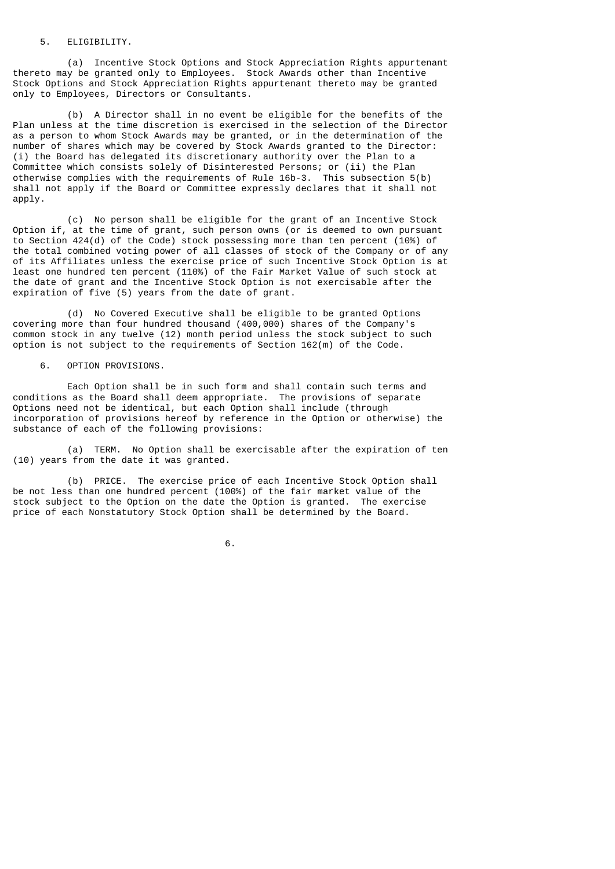# 5. ELIGIBILITY.

 (a) Incentive Stock Options and Stock Appreciation Rights appurtenant thereto may be granted only to Employees. Stock Awards other than Incentive Stock Options and Stock Appreciation Rights appurtenant thereto may be granted only to Employees, Directors or Consultants.

 (b) A Director shall in no event be eligible for the benefits of the Plan unless at the time discretion is exercised in the selection of the Director as a person to whom Stock Awards may be granted, or in the determination of the number of shares which may be covered by Stock Awards granted to the Director: (i) the Board has delegated its discretionary authority over the Plan to a Committee which consists solely of Disinterested Persons; or (ii) the Plan otherwise complies with the requirements of Rule 16b-3. This subsection 5(b) shall not apply if the Board or Committee expressly declares that it shall not apply.

 (c) No person shall be eligible for the grant of an Incentive Stock Option if, at the time of grant, such person owns (or is deemed to own pursuant to Section 424(d) of the Code) stock possessing more than ten percent (10%) of the total combined voting power of all classes of stock of the Company or of any of its Affiliates unless the exercise price of such Incentive Stock Option is at least one hundred ten percent (110%) of the Fair Market Value of such stock at the date of grant and the Incentive Stock Option is not exercisable after the expiration of five (5) years from the date of grant.

 (d) No Covered Executive shall be eligible to be granted Options covering more than four hundred thousand (400,000) shares of the Company's common stock in any twelve (12) month period unless the stock subject to such option is not subject to the requirements of Section 162(m) of the Code.

6. OPTION PROVISIONS.

 Each Option shall be in such form and shall contain such terms and conditions as the Board shall deem appropriate. The provisions of separate Options need not be identical, but each Option shall include (through incorporation of provisions hereof by reference in the Option or otherwise) the substance of each of the following provisions:

 (a) TERM. No Option shall be exercisable after the expiration of ten (10) years from the date it was granted.

 (b) PRICE. The exercise price of each Incentive Stock Option shall be not less than one hundred percent (100%) of the fair market value of the stock subject to the Option on the date the Option is granted. The exercise price of each Nonstatutory Stock Option shall be determined by the Board.

 $\overline{6}$ .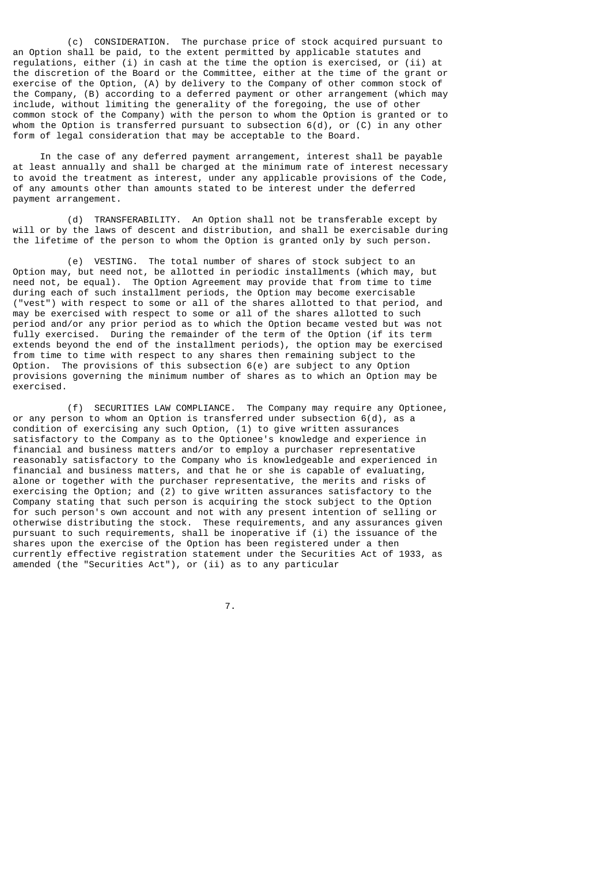(c) CONSIDERATION. The purchase price of stock acquired pursuant to an Option shall be paid, to the extent permitted by applicable statutes and regulations, either (i) in cash at the time the option is exercised, or (ii) at the discretion of the Board or the Committee, either at the time of the grant or exercise of the Option, (A) by delivery to the Company of other common stock of the Company, (B) according to a deferred payment or other arrangement (which may include, without limiting the generality of the foregoing, the use of other common stock of the Company) with the person to whom the Option is granted or to whom the Option is transferred pursuant to subsection 6(d), or (C) in any other form of legal consideration that may be acceptable to the Board.

 In the case of any deferred payment arrangement, interest shall be payable at least annually and shall be charged at the minimum rate of interest necessary to avoid the treatment as interest, under any applicable provisions of the Code, of any amounts other than amounts stated to be interest under the deferred payment arrangement.

 (d) TRANSFERABILITY. An Option shall not be transferable except by will or by the laws of descent and distribution, and shall be exercisable during the lifetime of the person to whom the Option is granted only by such person.

 (e) VESTING. The total number of shares of stock subject to an Option may, but need not, be allotted in periodic installments (which may, but need not, be equal). The Option Agreement may provide that from time to time during each of such installment periods, the Option may become exercisable ("vest") with respect to some or all of the shares allotted to that period, and may be exercised with respect to some or all of the shares allotted to such period and/or any prior period as to which the Option became vested but was not fully exercised. During the remainder of the term of the Option (if its term extends beyond the end of the installment periods), the option may be exercised from time to time with respect to any shares then remaining subject to the Option. The provisions of this subsection 6(e) are subject to any Option provisions governing the minimum number of shares as to which an Option may be exercised.

 (f) SECURITIES LAW COMPLIANCE. The Company may require any Optionee, or any person to whom an Option is transferred under subsection 6(d), as a condition of exercising any such Option, (1) to give written assurances satisfactory to the Company as to the Optionee's knowledge and experience in financial and business matters and/or to employ a purchaser representative reasonably satisfactory to the Company who is knowledgeable and experienced in financial and business matters, and that he or she is capable of evaluating, alone or together with the purchaser representative, the merits and risks of exercising the Option; and (2) to give written assurances satisfactory to the Company stating that such person is acquiring the stock subject to the Option for such person's own account and not with any present intention of selling or otherwise distributing the stock. These requirements, and any assurances given pursuant to such requirements, shall be inoperative if (i) the issuance of the shares upon the exercise of the Option has been registered under a then currently effective registration statement under the Securities Act of 1933, as amended (the "Securities Act"), or (ii) as to any particular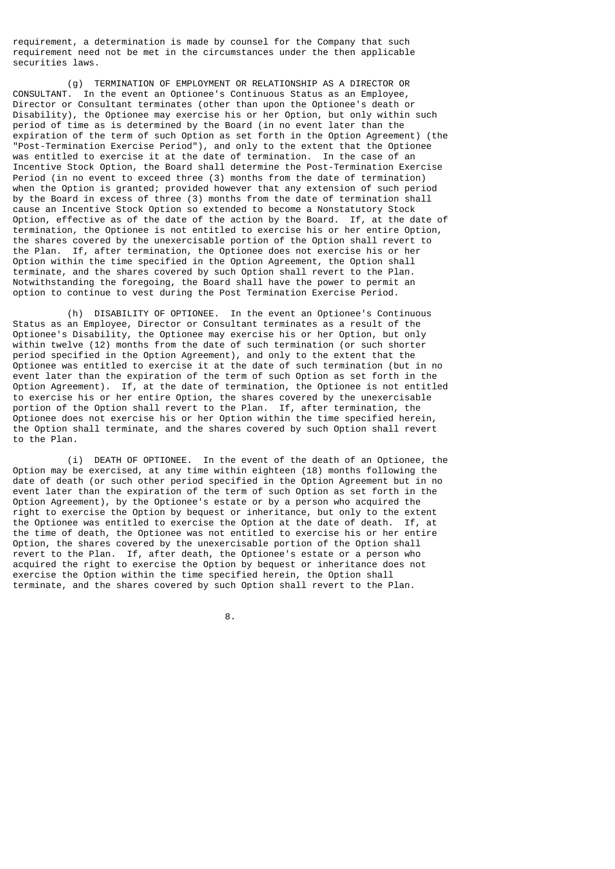requirement, a determination is made by counsel for the Company that such requirement need not be met in the circumstances under the then applicable securities laws.

 (g) TERMINATION OF EMPLOYMENT OR RELATIONSHIP AS A DIRECTOR OR CONSULTANT. In the event an Optionee's Continuous Status as an Employee, Director or Consultant terminates (other than upon the Optionee's death or Disability), the Optionee may exercise his or her Option, but only within such period of time as is determined by the Board (in no event later than the expiration of the term of such Option as set forth in the Option Agreement) (the "Post-Termination Exercise Period"), and only to the extent that the Optionee was entitled to exercise it at the date of termination. In the case of an Incentive Stock Option, the Board shall determine the Post-Termination Exercise Period (in no event to exceed three (3) months from the date of termination) when the Option is granted; provided however that any extension of such period by the Board in excess of three (3) months from the date of termination shall cause an Incentive Stock Option so extended to become a Nonstatutory Stock Option, effective as of the date of the action by the Board. If, at the date of termination, the Optionee is not entitled to exercise his or her entire Option, the shares covered by the unexercisable portion of the Option shall revert to the Plan. If, after termination, the Optionee does not exercise his or her Option within the time specified in the Option Agreement, the Option shall terminate, and the shares covered by such Option shall revert to the Plan. Notwithstanding the foregoing, the Board shall have the power to permit an option to continue to vest during the Post Termination Exercise Period.

 (h) DISABILITY OF OPTIONEE. In the event an Optionee's Continuous Status as an Employee, Director or Consultant terminates as a result of the Optionee's Disability, the Optionee may exercise his or her Option, but only within twelve (12) months from the date of such termination (or such shorter period specified in the Option Agreement), and only to the extent that the Optionee was entitled to exercise it at the date of such termination (but in no event later than the expiration of the term of such Option as set forth in the Option Agreement). If, at the date of termination, the Optionee is not entitled to exercise his or her entire Option, the shares covered by the unexercisable portion of the Option shall revert to the Plan. If, after termination, the Optionee does not exercise his or her Option within the time specified herein, the Option shall terminate, and the shares covered by such Option shall revert to the Plan.

 (i) DEATH OF OPTIONEE. In the event of the death of an Optionee, the Option may be exercised, at any time within eighteen (18) months following the date of death (or such other period specified in the Option Agreement but in no event later than the expiration of the term of such Option as set forth in the Option Agreement), by the Optionee's estate or by a person who acquired the right to exercise the Option by bequest or inheritance, but only to the extent the Optionee was entitled to exercise the Option at the date of death. If, at the time of death, the Optionee was not entitled to exercise his or her entire Option, the shares covered by the unexercisable portion of the Option shall revert to the Plan. If, after death, the Optionee's estate or a person who acquired the right to exercise the Option by bequest or inheritance does not exercise the Option within the time specified herein, the Option shall terminate, and the shares covered by such Option shall revert to the Plan.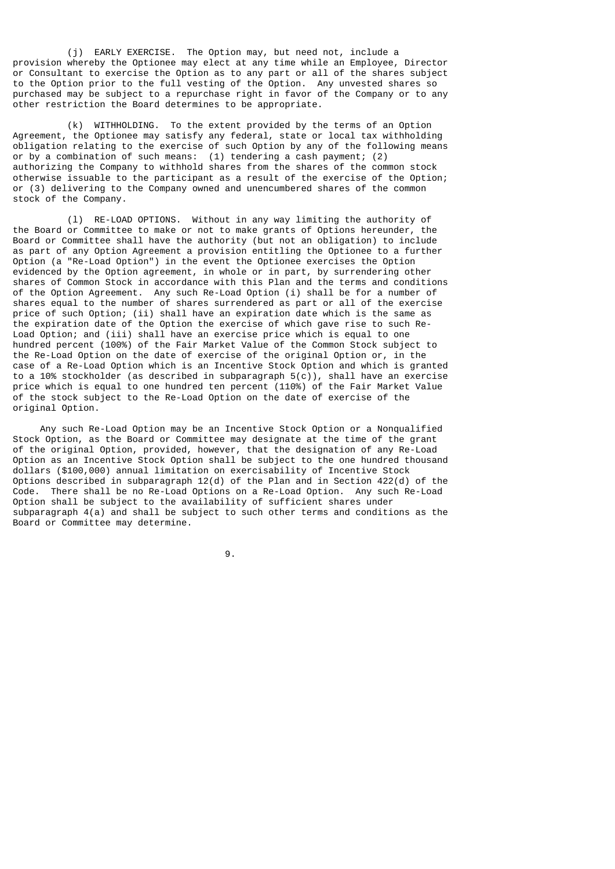(j) EARLY EXERCISE. The Option may, but need not, include a provision whereby the Optionee may elect at any time while an Employee, Director or Consultant to exercise the Option as to any part or all of the shares subject to the Option prior to the full vesting of the Option. Any unvested shares so purchased may be subject to a repurchase right in favor of the Company or to any other restriction the Board determines to be appropriate.

 (k) WITHHOLDING. To the extent provided by the terms of an Option Agreement, the Optionee may satisfy any federal, state or local tax withholding obligation relating to the exercise of such Option by any of the following means or by a combination of such means: (1) tendering a cash payment; (2) authorizing the Company to withhold shares from the shares of the common stock otherwise issuable to the participant as a result of the exercise of the Option; or (3) delivering to the Company owned and unencumbered shares of the common stock of the Company.

 (l) RE-LOAD OPTIONS. Without in any way limiting the authority of the Board or Committee to make or not to make grants of Options hereunder, the Board or Committee shall have the authority (but not an obligation) to include as part of any Option Agreement a provision entitling the Optionee to a further Option (a "Re-Load Option") in the event the Optionee exercises the Option evidenced by the Option agreement, in whole or in part, by surrendering other shares of Common Stock in accordance with this Plan and the terms and conditions of the Option Agreement. Any such Re-Load Option (i) shall be for a number of shares equal to the number of shares surrendered as part or all of the exercise price of such Option; (ii) shall have an expiration date which is the same as the expiration date of the Option the exercise of which gave rise to such Re-Load Option; and (iii) shall have an exercise price which is equal to one hundred percent (100%) of the Fair Market Value of the Common Stock subject to the Re-Load Option on the date of exercise of the original Option or, in the case of a Re-Load Option which is an Incentive Stock Option and which is granted to a 10% stockholder (as described in subparagraph 5(c)), shall have an exercise price which is equal to one hundred ten percent (110%) of the Fair Market Value of the stock subject to the Re-Load Option on the date of exercise of the original Option.

 Any such Re-Load Option may be an Incentive Stock Option or a Nonqualified Stock Option, as the Board or Committee may designate at the time of the grant of the original Option, provided, however, that the designation of any Re-Load Option as an Incentive Stock Option shall be subject to the one hundred thousand dollars (\$100,000) annual limitation on exercisability of Incentive Stock Options described in subparagraph 12(d) of the Plan and in Section 422(d) of the Code. There shall be no Re-Load Options on a Re-Load Option. Any such Re-Load Option shall be subject to the availability of sufficient shares under subparagraph 4(a) and shall be subject to such other terms and conditions as the Board or Committee may determine.

 $\overline{9}$ .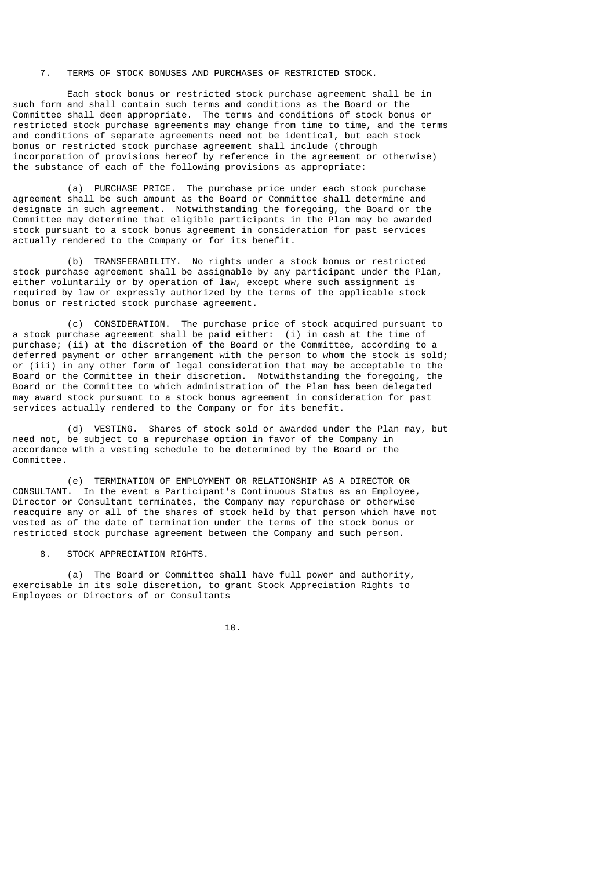# 7. TERMS OF STOCK BONUSES AND PURCHASES OF RESTRICTED STOCK.

 Each stock bonus or restricted stock purchase agreement shall be in such form and shall contain such terms and conditions as the Board or the Committee shall deem appropriate. The terms and conditions of stock bonus or restricted stock purchase agreements may change from time to time, and the terms and conditions of separate agreements need not be identical, but each stock bonus or restricted stock purchase agreement shall include (through incorporation of provisions hereof by reference in the agreement or otherwise) the substance of each of the following provisions as appropriate:

 (a) PURCHASE PRICE. The purchase price under each stock purchase agreement shall be such amount as the Board or Committee shall determine and designate in such agreement. Notwithstanding the foregoing, the Board or the Committee may determine that eligible participants in the Plan may be awarded stock pursuant to a stock bonus agreement in consideration for past services actually rendered to the Company or for its benefit.

 (b) TRANSFERABILITY. No rights under a stock bonus or restricted stock purchase agreement shall be assignable by any participant under the Plan, either voluntarily or by operation of law, except where such assignment is required by law or expressly authorized by the terms of the applicable stock bonus or restricted stock purchase agreement.

 (c) CONSIDERATION. The purchase price of stock acquired pursuant to a stock purchase agreement shall be paid either: (i) in cash at the time of purchase; (ii) at the discretion of the Board or the Committee, according to a deferred payment or other arrangement with the person to whom the stock is sold; or (iii) in any other form of legal consideration that may be acceptable to the Board or the Committee in their discretion. Notwithstanding the foregoing, the Board or the Committee to which administration of the Plan has been delegated may award stock pursuant to a stock bonus agreement in consideration for past services actually rendered to the Company or for its benefit.

 (d) VESTING. Shares of stock sold or awarded under the Plan may, but need not, be subject to a repurchase option in favor of the Company in accordance with a vesting schedule to be determined by the Board or the Committee.

 (e) TERMINATION OF EMPLOYMENT OR RELATIONSHIP AS A DIRECTOR OR CONSULTANT. In the event a Participant's Continuous Status as an Employee, Director or Consultant terminates, the Company may repurchase or otherwise reacquire any or all of the shares of stock held by that person which have not vested as of the date of termination under the terms of the stock bonus or restricted stock purchase agreement between the Company and such person.

8. STOCK APPRECIATION RIGHTS.

 (a) The Board or Committee shall have full power and authority, exercisable in its sole discretion, to grant Stock Appreciation Rights to Employees or Directors of or Consultants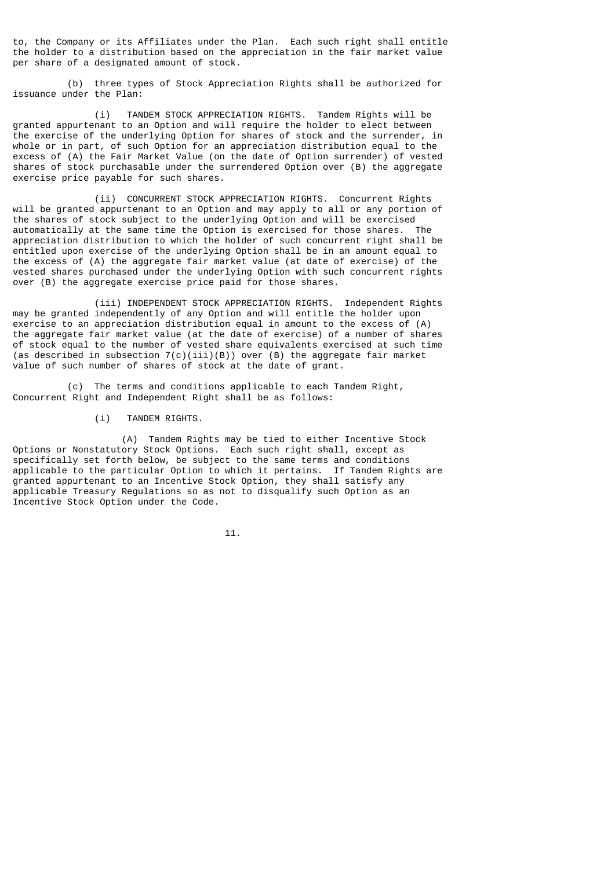to, the Company or its Affiliates under the Plan. Each such right shall entitle the holder to a distribution based on the appreciation in the fair market value per share of a designated amount of stock.

 (b) three types of Stock Appreciation Rights shall be authorized for issuance under the Plan:

 (i) TANDEM STOCK APPRECIATION RIGHTS. Tandem Rights will be granted appurtenant to an Option and will require the holder to elect between the exercise of the underlying Option for shares of stock and the surrender, in whole or in part, of such Option for an appreciation distribution equal to the excess of (A) the Fair Market Value (on the date of Option surrender) of vested shares of stock purchasable under the surrendered Option over (B) the aggregate exercise price payable for such shares.

 (ii) CONCURRENT STOCK APPRECIATION RIGHTS. Concurrent Rights will be granted appurtenant to an Option and may apply to all or any portion of the shares of stock subject to the underlying Option and will be exercised automatically at the same time the Option is exercised for those shares. The appreciation distribution to which the holder of such concurrent right shall be entitled upon exercise of the underlying Option shall be in an amount equal to the excess of (A) the aggregate fair market value (at date of exercise) of the vested shares purchased under the underlying Option with such concurrent rights over (B) the aggregate exercise price paid for those shares.

 (iii) INDEPENDENT STOCK APPRECIATION RIGHTS. Independent Rights may be granted independently of any Option and will entitle the holder upon exercise to an appreciation distribution equal in amount to the excess of (A) the aggregate fair market value (at the date of exercise) of a number of shares of stock equal to the number of vested share equivalents exercised at such time (as described in subsection  $7(c)(iii)(B)$ ) over (B) the aggregate fair market value of such number of shares of stock at the date of grant.

 (c) The terms and conditions applicable to each Tandem Right, Concurrent Right and Independent Right shall be as follows:

(i) TANDEM RIGHTS.

 (A) Tandem Rights may be tied to either Incentive Stock Options or Nonstatutory Stock Options. Each such right shall, except as specifically set forth below, be subject to the same terms and conditions applicable to the particular Option to which it pertains. If Tandem Rights are granted appurtenant to an Incentive Stock Option, they shall satisfy any applicable Treasury Regulations so as not to disqualify such Option as an Incentive Stock Option under the Code.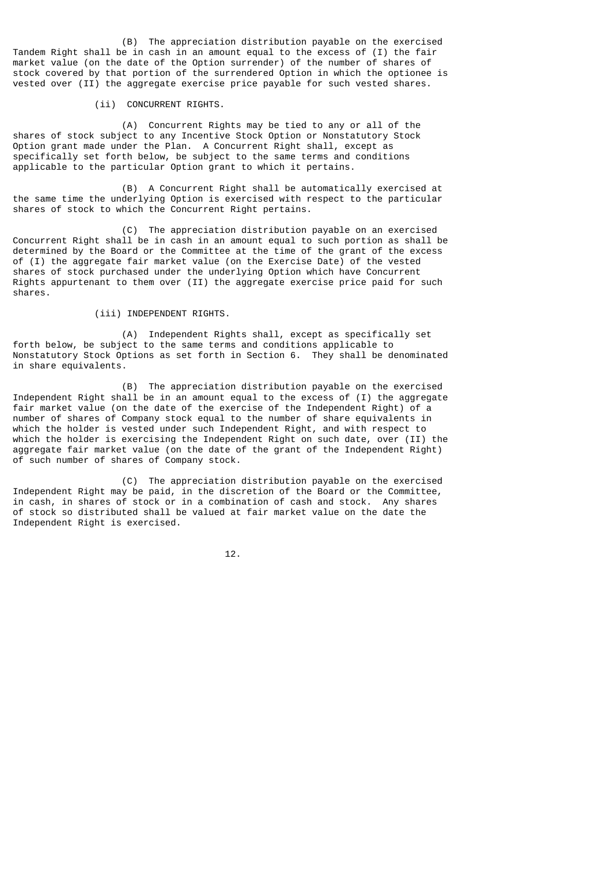(B) The appreciation distribution payable on the exercised Tandem Right shall be in cash in an amount equal to the excess of (I) the fair market value (on the date of the Option surrender) of the number of shares of stock covered by that portion of the surrendered Option in which the optionee is vested over (II) the aggregate exercise price payable for such vested shares.

## (ii) CONCURRENT RIGHTS.

 (A) Concurrent Rights may be tied to any or all of the shares of stock subject to any Incentive Stock Option or Nonstatutory Stock Option grant made under the Plan. A Concurrent Right shall, except as specifically set forth below, be subject to the same terms and conditions applicable to the particular Option grant to which it pertains.

 (B) A Concurrent Right shall be automatically exercised at the same time the underlying Option is exercised with respect to the particular shares of stock to which the Concurrent Right pertains.

 (C) The appreciation distribution payable on an exercised Concurrent Right shall be in cash in an amount equal to such portion as shall be determined by the Board or the Committee at the time of the grant of the excess of (I) the aggregate fair market value (on the Exercise Date) of the vested shares of stock purchased under the underlying Option which have Concurrent Rights appurtenant to them over (II) the aggregate exercise price paid for such shares.

# (iii) INDEPENDENT RIGHTS.

(A) Independent Rights shall, except as specifically set forth below, be subject to the same terms and conditions applicable to Nonstatutory Stock Options as set forth in Section 6. They shall be denominated in share equivalents.

 (B) The appreciation distribution payable on the exercised Independent Right shall be in an amount equal to the excess of (I) the aggregate fair market value (on the date of the exercise of the Independent Right) of a number of shares of Company stock equal to the number of share equivalents in which the holder is vested under such Independent Right, and with respect to which the holder is exercising the Independent Right on such date, over (II) the aggregate fair market value (on the date of the grant of the Independent Right) of such number of shares of Company stock.

 (C) The appreciation distribution payable on the exercised Independent Right may be paid, in the discretion of the Board or the Committee, in cash, in shares of stock or in a combination of cash and stock. Any shares of stock so distributed shall be valued at fair market value on the date the Independent Right is exercised.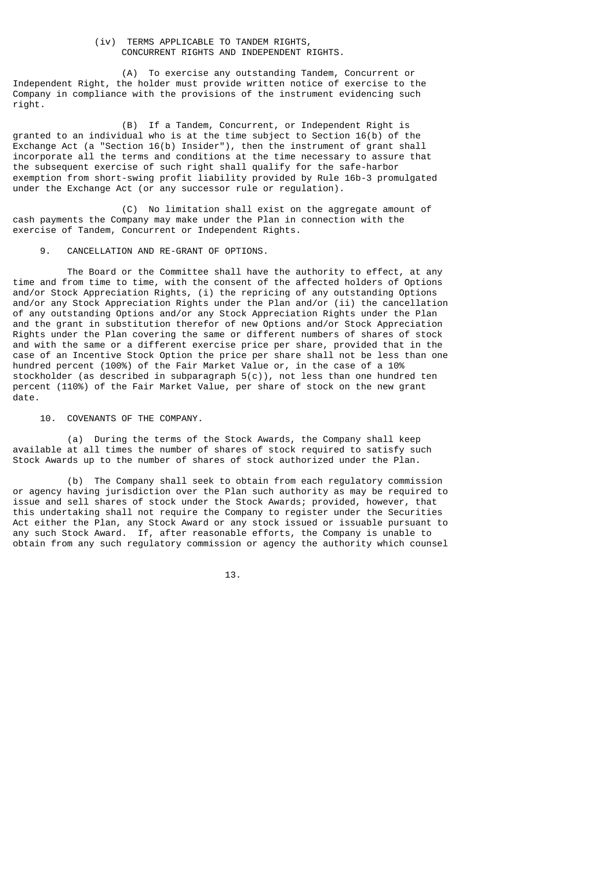# (iv) TERMS APPLICABLE TO TANDEM RIGHTS, CONCURRENT RIGHTS AND INDEPENDENT RIGHTS.

 (A) To exercise any outstanding Tandem, Concurrent or Independent Right, the holder must provide written notice of exercise to the Company in compliance with the provisions of the instrument evidencing such right.

 (B) If a Tandem, Concurrent, or Independent Right is granted to an individual who is at the time subject to Section 16(b) of the Exchange Act (a "Section 16(b) Insider"), then the instrument of grant shall incorporate all the terms and conditions at the time necessary to assure that the subsequent exercise of such right shall qualify for the safe-harbor exemption from short-swing profit liability provided by Rule 16b-3 promulgated under the Exchange Act (or any successor rule or regulation).

 (C) No limitation shall exist on the aggregate amount of cash payments the Company may make under the Plan in connection with the exercise of Tandem, Concurrent or Independent Rights.

## 9. CANCELLATION AND RE-GRANT OF OPTIONS.

 The Board or the Committee shall have the authority to effect, at any time and from time to time, with the consent of the affected holders of Options and/or Stock Appreciation Rights, (i) the repricing of any outstanding Options and/or any Stock Appreciation Rights under the Plan and/or (ii) the cancellation of any outstanding Options and/or any Stock Appreciation Rights under the Plan and the grant in substitution therefor of new Options and/or Stock Appreciation Rights under the Plan covering the same or different numbers of shares of stock and with the same or a different exercise price per share, provided that in the case of an Incentive Stock Option the price per share shall not be less than one hundred percent (100%) of the Fair Market Value or, in the case of a 10% stockholder (as described in subparagraph 5(c)), not less than one hundred ten percent (110%) of the Fair Market Value, per share of stock on the new grant date.

10. COVENANTS OF THE COMPANY.

 (a) During the terms of the Stock Awards, the Company shall keep available at all times the number of shares of stock required to satisfy such Stock Awards up to the number of shares of stock authorized under the Plan.

 (b) The Company shall seek to obtain from each regulatory commission or agency having jurisdiction over the Plan such authority as may be required to issue and sell shares of stock under the Stock Awards; provided, however, that this undertaking shall not require the Company to register under the Securities Act either the Plan, any Stock Award or any stock issued or issuable pursuant to any such Stock Award. If, after reasonable efforts, the Company is unable to obtain from any such regulatory commission or agency the authority which counsel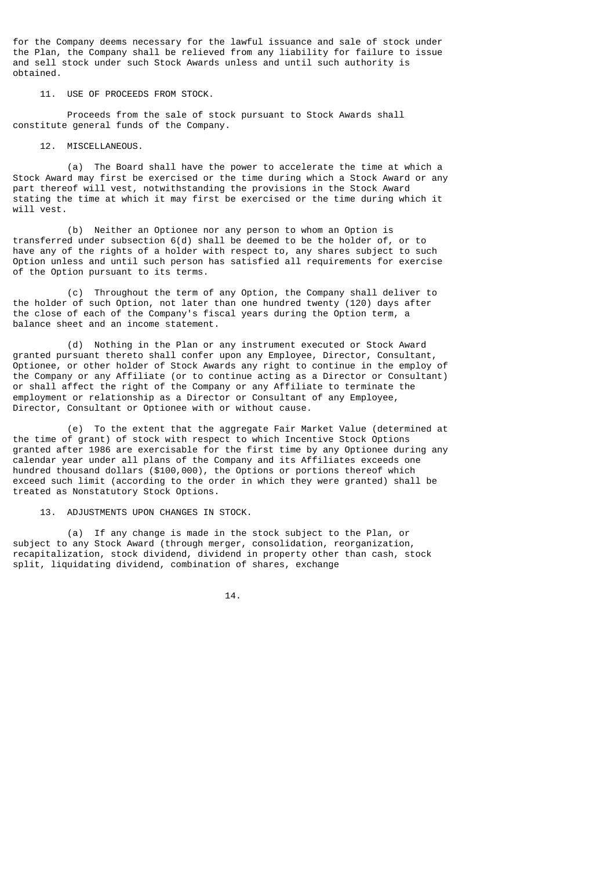for the Company deems necessary for the lawful issuance and sale of stock under the Plan, the Company shall be relieved from any liability for failure to issue and sell stock under such Stock Awards unless and until such authority is obtained.

11. USE OF PROCEEDS FROM STOCK.

 Proceeds from the sale of stock pursuant to Stock Awards shall constitute general funds of the Company.

12. MISCELLANEOUS.

 (a) The Board shall have the power to accelerate the time at which a Stock Award may first be exercised or the time during which a Stock Award or any part thereof will vest, notwithstanding the provisions in the Stock Award stating the time at which it may first be exercised or the time during which it will vest.

 (b) Neither an Optionee nor any person to whom an Option is transferred under subsection 6(d) shall be deemed to be the holder of, or to have any of the rights of a holder with respect to, any shares subject to such Option unless and until such person has satisfied all requirements for exercise of the Option pursuant to its terms.

 (c) Throughout the term of any Option, the Company shall deliver to the holder of such Option, not later than one hundred twenty (120) days after the close of each of the Company's fiscal years during the Option term, a balance sheet and an income statement.

 (d) Nothing in the Plan or any instrument executed or Stock Award granted pursuant thereto shall confer upon any Employee, Director, Consultant, Optionee, or other holder of Stock Awards any right to continue in the employ of the Company or any Affiliate (or to continue acting as a Director or Consultant) or shall affect the right of the Company or any Affiliate to terminate the employment or relationship as a Director or Consultant of any Employee, Director, Consultant or Optionee with or without cause.

 (e) To the extent that the aggregate Fair Market Value (determined at the time of grant) of stock with respect to which Incentive Stock Options granted after 1986 are exercisable for the first time by any Optionee during any calendar year under all plans of the Company and its Affiliates exceeds one hundred thousand dollars (\$100,000), the Options or portions thereof which exceed such limit (according to the order in which they were granted) shall be treated as Nonstatutory Stock Options.

13. ADJUSTMENTS UPON CHANGES IN STOCK.

 (a) If any change is made in the stock subject to the Plan, or subject to any Stock Award (through merger, consolidation, reorganization, recapitalization, stock dividend, dividend in property other than cash, stock split, liquidating dividend, combination of shares, exchange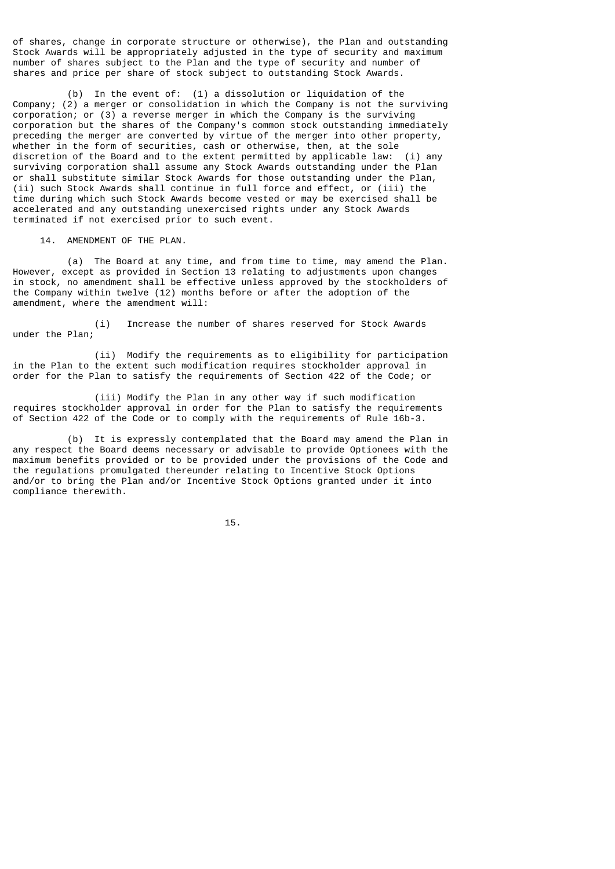of shares, change in corporate structure or otherwise), the Plan and outstanding Stock Awards will be appropriately adjusted in the type of security and maximum number of shares subject to the Plan and the type of security and number of shares and price per share of stock subject to outstanding Stock Awards.

 (b) In the event of: (1) a dissolution or liquidation of the Company; (2) a merger or consolidation in which the Company is not the surviving corporation; or (3) a reverse merger in which the Company is the surviving corporation but the shares of the Company's common stock outstanding immediately preceding the merger are converted by virtue of the merger into other property, whether in the form of securities, cash or otherwise, then, at the sole discretion of the Board and to the extent permitted by applicable law: (i) any surviving corporation shall assume any Stock Awards outstanding under the Plan or shall substitute similar Stock Awards for those outstanding under the Plan, (ii) such Stock Awards shall continue in full force and effect, or (iii) the time during which such Stock Awards become vested or may be exercised shall be accelerated and any outstanding unexercised rights under any Stock Awards terminated if not exercised prior to such event.

14. AMENDMENT OF THE PLAN.

 (a) The Board at any time, and from time to time, may amend the Plan. However, except as provided in Section 13 relating to adjustments upon changes in stock, no amendment shall be effective unless approved by the stockholders of the Company within twelve (12) months before or after the adoption of the amendment, where the amendment will:

 (i) Increase the number of shares reserved for Stock Awards under the Plan;

 (ii) Modify the requirements as to eligibility for participation in the Plan to the extent such modification requires stockholder approval in order for the Plan to satisfy the requirements of Section 422 of the Code; or

 (iii) Modify the Plan in any other way if such modification requires stockholder approval in order for the Plan to satisfy the requirements of Section 422 of the Code or to comply with the requirements of Rule 16b-3.

 (b) It is expressly contemplated that the Board may amend the Plan in any respect the Board deems necessary or advisable to provide Optionees with the maximum benefits provided or to be provided under the provisions of the Code and the regulations promulgated thereunder relating to Incentive Stock Options and/or to bring the Plan and/or Incentive Stock Options granted under it into compliance therewith.